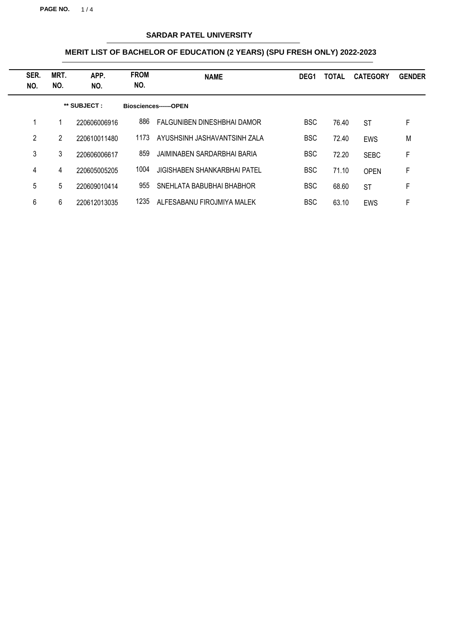**PAGE NO.** 1 / 4

## **SARDAR PATEL UNIVERSITY**

| SER.<br>NO. | MRT.<br>NO.  | APP.<br>NO.  | <b>FROM</b><br>NO. | <b>NAME</b>                  | DEG <sub>1</sub> | TOTAL | <b>CATEGORY</b> | <b>GENDER</b> |
|-------------|--------------|--------------|--------------------|------------------------------|------------------|-------|-----------------|---------------|
|             | ** SUBJECT : |              |                    | Biosciences------OPEN        |                  |       |                 |               |
|             | 1            | 220606006916 | 886                | FALGUNIBEN DINESHBHAI DAMOR  | <b>BSC</b>       | 76.40 | <b>ST</b>       | F             |
| 2           | 2            | 220610011480 | 1173               | AYUSHSINH JASHAVANTSINH ZALA | <b>BSC</b>       | 72.40 | <b>EWS</b>      | M             |
| 3           | 3            | 220606006617 | 859                | JAIMINABEN SARDARBHAI BARIA  | <b>BSC</b>       | 72.20 | <b>SEBC</b>     | F             |
| 4           | 4            | 220605005205 | 1004               | JIGISHABEN SHANKARBHAI PATEL | <b>BSC</b>       | 71.10 | <b>OPEN</b>     | F             |
| 5           | 5            | 220609010414 | 955                | SNEHLATA BABUBHAI BHABHOR    | <b>BSC</b>       | 68.60 | <b>ST</b>       | F             |
| 6           | 6            | 220612013035 | 1235               | ALFESABANU FIROJMIYA MALEK   | <b>BSC</b>       | 63.10 | EWS             | F             |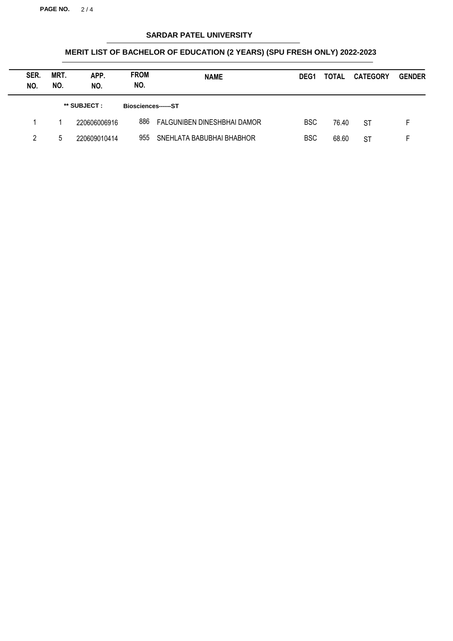**PAGE NO.** 2 / 4

## **SARDAR PATEL UNIVERSITY**

| SER.<br>NO. | MRT.<br>NO. | APP.<br>NO.  | <b>FROM</b><br>NO.  | <b>NAME</b>                 | DEG <sub>1</sub> | TOTAL | <b>CATEGORY</b> | <b>GENDER</b> |
|-------------|-------------|--------------|---------------------|-----------------------------|------------------|-------|-----------------|---------------|
|             |             | ** SUBJECT : | Biosciences------ST |                             |                  |       |                 |               |
|             |             | 220606006916 | 886                 | FALGUNIBEN DINESHBHAI DAMOR | <b>BSC</b>       | 76.40 | <b>ST</b>       | F.            |
| 2           | 5           | 220609010414 | 955                 | SNEHLATA BABUBHAI BHABHOR   | <b>BSC</b>       | 68.60 | <b>ST</b>       |               |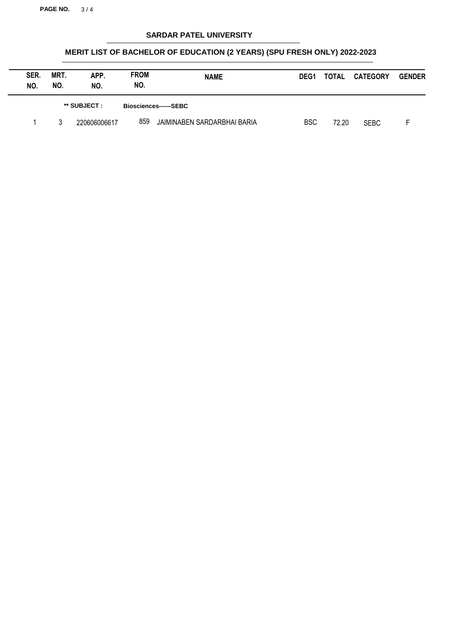**PAGE NO.** 3 / 4

## **SARDAR PATEL UNIVERSITY**

| SER.<br>NO. | MRT.<br>NO.  | APP.<br>NO.  | <b>FROM</b><br>NO. | <b>NAME</b>                 | DEG <sub>1</sub> | <b>TOTAL</b> | <b>CATEGORY</b> | <b>GENDER</b> |
|-------------|--------------|--------------|--------------------|-----------------------------|------------------|--------------|-----------------|---------------|
|             | ** SUBJECT : |              |                    | Biosciences------SEBC       |                  |              |                 |               |
|             |              | 220606006617 | 859                | JAIMINABEN SARDARBHAI BARIA | <b>BSC</b>       | 72.20        | <b>SEBC</b>     |               |